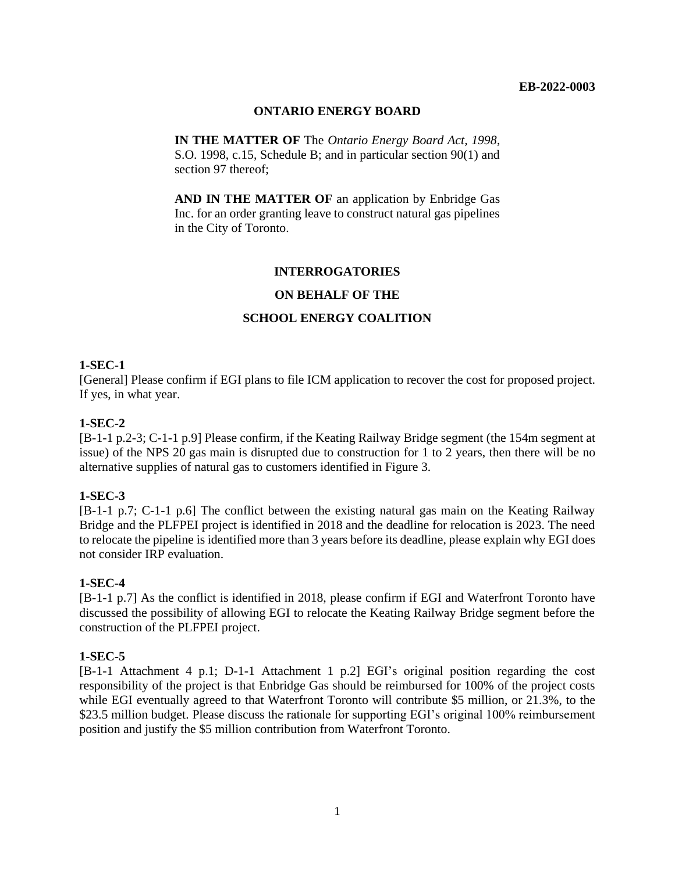#### **EB-2022-0003**

## **ONTARIO ENERGY BOARD**

**IN THE MATTER OF** The *Ontario Energy Board Act, 1998*, S.O. 1998, c.15, Schedule B; and in particular section 90(1) and section 97 thereof;

**AND IN THE MATTER OF** an application by Enbridge Gas Inc. for an order granting leave to construct natural gas pipelines in the City of Toronto.

## **INTERROGATORIES**

## **ON BEHALF OF THE**

## **SCHOOL ENERGY COALITION**

## **1-SEC-1**

[General] Please confirm if EGI plans to file ICM application to recover the cost for proposed project. If yes, in what year.

## **1-SEC-2**

[B-1-1 p.2-3; C-1-1 p.9] Please confirm, if the Keating Railway Bridge segment (the 154m segment at issue) of the NPS 20 gas main is disrupted due to construction for 1 to 2 years, then there will be no alternative supplies of natural gas to customers identified in Figure 3.

#### **1-SEC-3**

[B-1-1 p.7; C-1-1 p.6] The conflict between the existing natural gas main on the Keating Railway Bridge and the PLFPEI project is identified in 2018 and the deadline for relocation is 2023. The need to relocate the pipeline is identified more than 3 years before its deadline, please explain why EGI does not consider IRP evaluation.

#### **1-SEC-4**

[B-1-1 p.7] As the conflict is identified in 2018, please confirm if EGI and Waterfront Toronto have discussed the possibility of allowing EGI to relocate the Keating Railway Bridge segment before the construction of the PLFPEI project.

#### **1-SEC-5**

[B-1-1 Attachment 4 p.1; D-1-1 Attachment 1 p.2] EGI's original position regarding the cost responsibility of the project is that Enbridge Gas should be reimbursed for 100% of the project costs while EGI eventually agreed to that Waterfront Toronto will contribute \$5 million, or 21.3%, to the \$23.5 million budget. Please discuss the rationale for supporting EGI's original 100% reimbursement position and justify the \$5 million contribution from Waterfront Toronto.